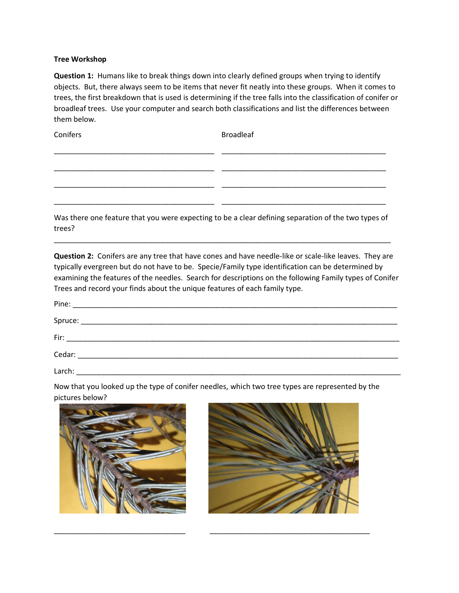## **Tree Workshop**

**Question 1:** Humans like to break things down into clearly defined groups when trying to identify objects. But, there always seem to be items that never fit neatly into these groups. When it comes to trees, the first breakdown that is used is determining if the tree falls into the classification of conifer or broadleaf trees. Use your computer and search both classifications and list the differences between them below.

Conifers **Broadleaf** 

Was there one feature that you were expecting to be a clear defining separation of the two types of trees?

\_\_\_\_\_\_\_\_\_\_\_\_\_\_\_\_\_\_\_\_\_\_\_\_\_\_\_\_\_\_\_\_\_\_\_\_\_\_\_\_\_\_\_\_\_\_\_\_\_\_\_\_\_\_\_\_\_\_\_\_\_\_\_\_\_\_\_\_\_\_\_\_\_\_\_\_\_\_\_\_\_\_

\_\_\_\_\_\_\_\_\_\_\_\_\_\_\_\_\_\_\_\_\_\_\_\_\_\_\_\_\_\_\_\_\_\_\_\_\_\_\_ \_\_\_\_\_\_\_\_\_\_\_\_\_\_\_\_\_\_\_\_\_\_\_\_\_\_\_\_\_\_\_\_\_\_\_\_\_\_\_\_

\_\_\_\_\_\_\_\_\_\_\_\_\_\_\_\_\_\_\_\_\_\_\_\_\_\_\_\_\_\_\_\_\_\_\_\_\_\_\_ \_\_\_\_\_\_\_\_\_\_\_\_\_\_\_\_\_\_\_\_\_\_\_\_\_\_\_\_\_\_\_\_\_\_\_\_\_\_\_\_

\_\_\_\_\_\_\_\_\_\_\_\_\_\_\_\_\_\_\_\_\_\_\_\_\_\_\_\_\_\_\_\_\_\_\_\_\_\_\_ \_\_\_\_\_\_\_\_\_\_\_\_\_\_\_\_\_\_\_\_\_\_\_\_\_\_\_\_\_\_\_\_\_\_\_\_\_\_\_\_

\_\_\_\_\_\_\_\_\_\_\_\_\_\_\_\_\_\_\_\_\_\_\_\_\_\_\_\_\_\_\_\_\_\_\_\_\_\_\_ \_\_\_\_\_\_\_\_\_\_\_\_\_\_\_\_\_\_\_\_\_\_\_\_\_\_\_\_\_\_\_\_\_\_\_\_\_\_\_\_

**Question 2:** Conifers are any tree that have cones and have needle-like or scale-like leaves. They are typically evergreen but do not have to be. Specie/Family type identification can be determined by examining the features of the needles. Search for descriptions on the following Family types of Conifer Trees and record your finds about the unique features of each family type.

| Pine:   |  |
|---------|--|
| Spruce: |  |
| Fir:    |  |
| Cedar:  |  |

Larch: \_\_\_\_\_\_\_\_\_\_\_\_\_\_\_\_\_\_\_\_\_\_\_\_\_\_\_\_\_\_\_\_\_\_\_\_\_\_\_\_\_\_\_\_\_\_\_\_\_\_\_\_\_\_\_\_\_\_\_\_\_\_\_\_\_\_\_\_\_\_\_\_\_\_\_\_\_\_\_

Now that you looked up the type of conifer needles, which two tree types are represented by the pictures below?

\_\_\_\_\_\_\_\_\_\_\_\_\_\_\_\_\_\_\_\_\_\_\_\_\_\_\_\_\_\_\_\_ \_\_\_\_\_\_\_\_\_\_\_\_\_\_\_\_\_\_\_\_\_\_\_\_\_\_\_\_\_\_\_\_\_\_\_\_\_\_\_



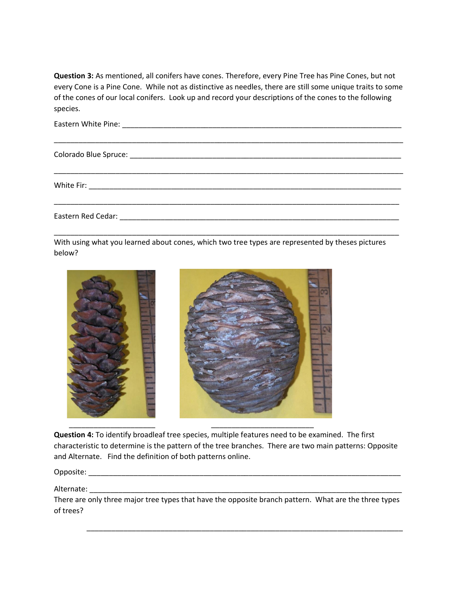**Question 3:** As mentioned, all conifers have cones. Therefore, every Pine Tree has Pine Cones, but not every Cone is a Pine Cone. While not as distinctive as needles, there are still some unique traits to some of the cones of our local conifers. Look up and record your descriptions of the cones to the following species.

With using what you learned about cones, which two tree types are represented by theses pictures below?



**Question 4:** To identify broadleaf tree species, multiple features need to be examined. The first characteristic to determine is the pattern of the tree branches. There are two main patterns: Opposite and Alternate. Find the definition of both patterns online.

Opposite: \_\_\_\_\_\_\_\_\_\_\_\_\_\_\_\_\_\_\_\_\_\_\_\_\_\_\_\_\_\_\_\_\_\_\_\_\_\_\_\_\_\_\_\_\_\_\_\_\_\_\_\_\_\_\_\_\_\_\_\_\_\_\_\_\_\_\_\_\_\_\_\_\_\_\_\_

Alternate:

There are only three major tree types that have the opposite branch pattern. What are the three types of trees?

\_\_\_\_\_\_\_\_\_\_\_\_\_\_\_\_\_\_\_\_\_\_\_\_\_\_\_\_\_\_\_\_\_\_\_\_\_\_\_\_\_\_\_\_\_\_\_\_\_\_\_\_\_\_\_\_\_\_\_\_\_\_\_\_\_\_\_\_\_\_\_\_\_\_\_\_\_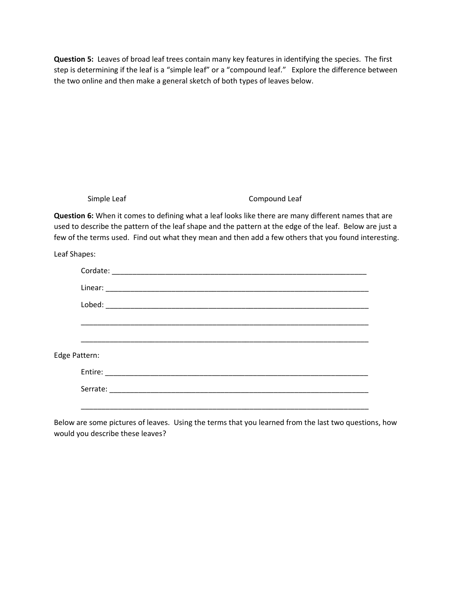**Question 5:** Leaves of broad leaf trees contain many key features in identifying the species. The first step is determining if the leaf is a "simple leaf" or a "compound leaf." Explore the difference between the two online and then make a general sketch of both types of leaves below.

Simple Leaf Compound Leaf

**Question 6:** When it comes to defining what a leaf looks like there are many different names that are used to describe the pattern of the leaf shape and the pattern at the edge of the leaf. Below are just a few of the terms used. Find out what they mean and then add a few others that you found interesting.

Leaf Shapes:

|               | Lobed: |
|---------------|--------|
|               |        |
|               |        |
| Edge Pattern: |        |
|               |        |
|               |        |
|               |        |

Below are some pictures of leaves. Using the terms that you learned from the last two questions, how would you describe these leaves?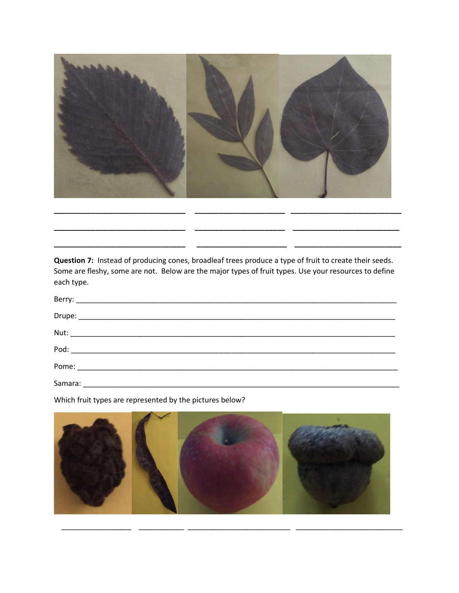

Question 7: Instead of producing cones, broadleaf trees produce a type of fruit to create their seeds. Some are fleshy, some are not. Below are the major types of fruit types. Use your resources to define each type.

| Samara: |  |
|---------|--|

Which fruit types are represented by the pictures below?

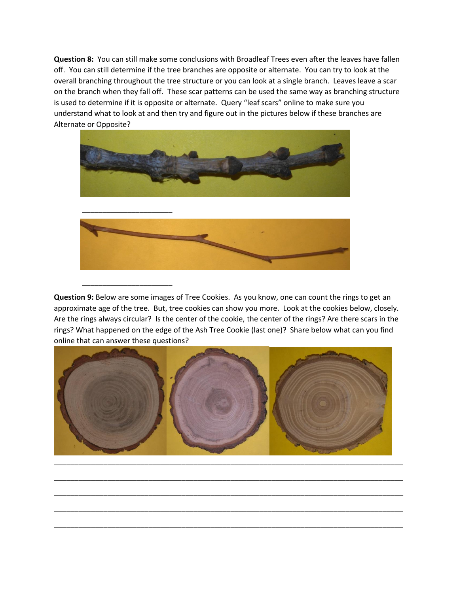**Question 8:** You can still make some conclusions with Broadleaf Trees even after the leaves have fallen off. You can still determine if the tree branches are opposite or alternate. You can try to look at the overall branching throughout the tree structure or you can look at a single branch. Leaves leave a scar on the branch when they fall off. These scar patterns can be used the same way as branching structure is used to determine if it is opposite or alternate. Query "leaf scars" online to make sure you understand what to look at and then try and figure out in the pictures below if these branches are Alternate or Opposite?



\_\_\_\_\_\_\_\_\_\_\_\_\_\_\_\_\_\_\_\_\_\_

**Question 9:** Below are some images of Tree Cookies. As you know, one can count the rings to get an approximate age of the tree. But, tree cookies can show you more. Look at the cookies below, closely. Are the rings always circular? Is the center of the cookie, the center of the rings? Are there scars in the rings? What happened on the edge of the Ash Tree Cookie (last one)? Share below what can you find online that can answer these questions?



\_\_\_\_\_\_\_\_\_\_\_\_\_\_\_\_\_\_\_\_\_\_\_\_\_\_\_\_\_\_\_\_\_\_\_\_\_\_\_\_\_\_\_\_\_\_\_\_\_\_\_\_\_\_\_\_\_\_\_\_\_\_\_\_\_\_\_\_\_\_\_\_\_\_\_\_\_\_\_\_\_\_\_\_\_

\_\_\_\_\_\_\_\_\_\_\_\_\_\_\_\_\_\_\_\_\_\_\_\_\_\_\_\_\_\_\_\_\_\_\_\_\_\_\_\_\_\_\_\_\_\_\_\_\_\_\_\_\_\_\_\_\_\_\_\_\_\_\_\_\_\_\_\_\_\_\_\_\_\_\_\_\_\_\_\_\_\_\_\_\_

\_\_\_\_\_\_\_\_\_\_\_\_\_\_\_\_\_\_\_\_\_\_\_\_\_\_\_\_\_\_\_\_\_\_\_\_\_\_\_\_\_\_\_\_\_\_\_\_\_\_\_\_\_\_\_\_\_\_\_\_\_\_\_\_\_\_\_\_\_\_\_\_\_\_\_\_\_\_\_\_\_\_\_\_\_

\_\_\_\_\_\_\_\_\_\_\_\_\_\_\_\_\_\_\_\_\_\_\_\_\_\_\_\_\_\_\_\_\_\_\_\_\_\_\_\_\_\_\_\_\_\_\_\_\_\_\_\_\_\_\_\_\_\_\_\_\_\_\_\_\_\_\_\_\_\_\_\_\_\_\_\_\_\_\_\_\_\_\_\_\_